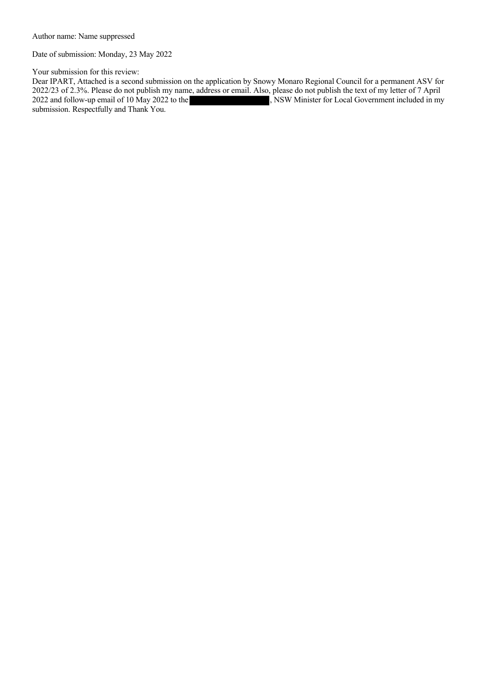Author name: Name suppressed

Date of submission: Monday, 23 May 2022

Your submission for this review:

Dear IPART, Attached is a second submission on the application by Snowy Monaro Regional Council for a permanent ASV for 2022/23 of 2.3%. Please do not publish my name, address or email. Also, please do not publish the text of my letter of 7 April 2022 and follow-up email of 10 May 2022 to the , NSW Minister for Local Government included in , NSW Minister for Local Government included in my submission. Respectfully and Thank You.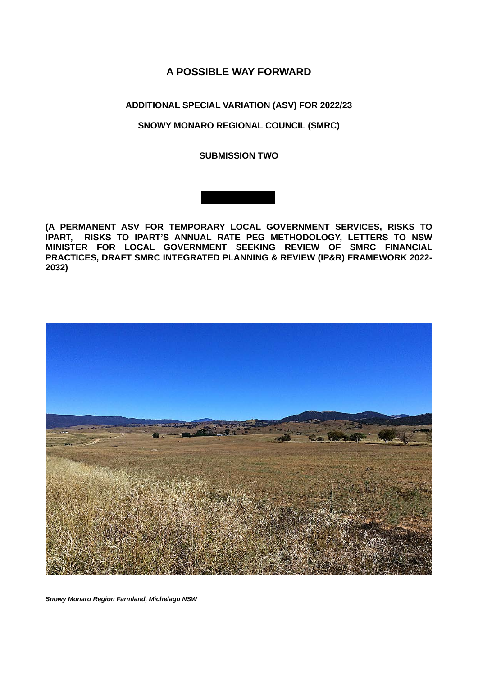# **A POSSIBLE WAY FORWARD**

# **ADDITIONAL SPECIAL VARIATION (ASV) FOR 2022/23**

## **SNOWY MONARO REGIONAL COUNCIL (SMRC)**

**SUBMISSION TWO**





*Snowy Monaro Region Farmland, Michelago NSW*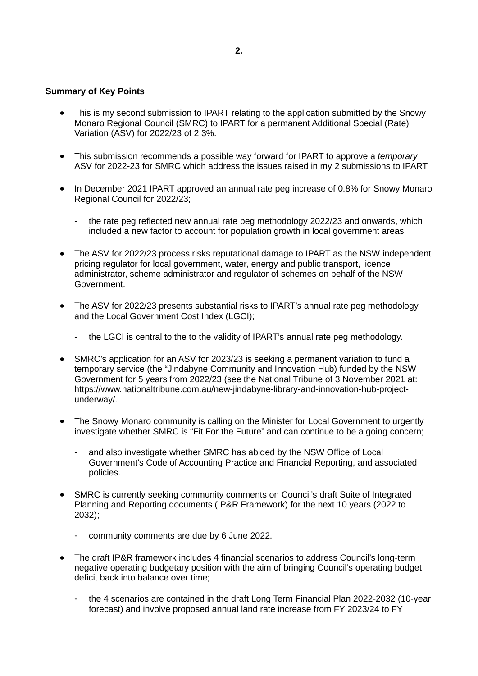#### **Summary of Key Points**

- This is my second submission to IPART relating to the application submitted by the Snowy Monaro Regional Council (SMRC) to IPART for a permanent Additional Special (Rate) Variation (ASV) for 2022/23 of 2.3%.
- This submission recommends a possible way forward for IPART to approve a *temporary* ASV for 2022-23 for SMRC which address the issues raised in my 2 submissions to IPART.
- In December 2021 IPART approved an annual rate peg increase of 0.8% for Snowy Monaro Regional Council for 2022/23;
	- the rate peg reflected new annual rate peg methodology 2022/23 and onwards, which included a new factor to account for population growth in local government areas.
- The ASV for 2022/23 process risks reputational damage to IPART as the NSW independent pricing regulator for local government, water, energy and public transport, licence administrator, scheme administrator and regulator of schemes on behalf of the NSW Government.
- The ASV for 2022/23 presents substantial risks to IPART's annual rate peg methodology and the Local Government Cost Index (LGCI);
	- the LGCI is central to the to the validity of IPART's annual rate peg methodology.
- SMRC's application for an ASV for 2023/23 is seeking a permanent variation to fund a temporary service (the "Jindabyne Community and Innovation Hub) funded by the NSW Government for 5 years from 2022/23 (see the National Tribune of 3 November 2021 at: https://www.nationaltribune.com.au/new-jindabyne-library-and-innovation-hub-projectunderway/.
- The Snowy Monaro community is calling on the Minister for Local Government to urgently investigate whether SMRC is "Fit For the Future" and can continue to be a going concern;
	- and also investigate whether SMRC has abided by the NSW Office of Local Government's Code of Accounting Practice and Financial Reporting, and associated policies.
- SMRC is currently seeking community comments on Council's draft Suite of Integrated Planning and Reporting documents (IP&R Framework) for the next 10 years (2022 to 2032);
	- community comments are due by 6 June 2022.
- The draft IP&R framework includes 4 financial scenarios to address Council's long-term negative operating budgetary position with the aim of bringing Council's operating budget deficit back into balance over time;
	- the 4 scenarios are contained in the draft Long Term Financial Plan 2022-2032 (10-year forecast) and involve proposed annual land rate increase from FY 2023/24 to FY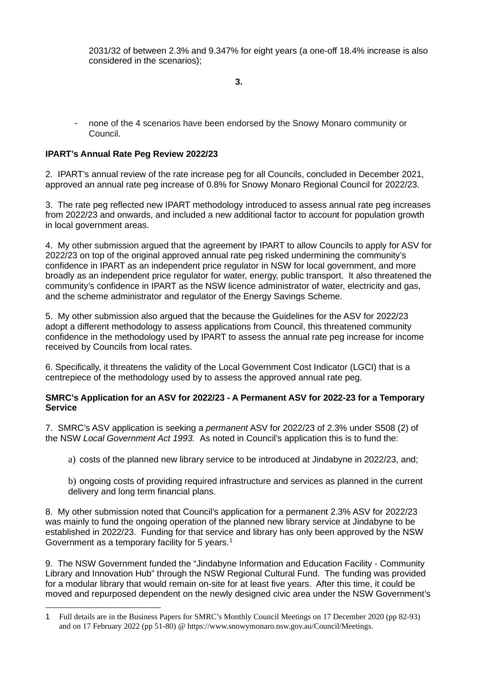2031/32 of between 2.3% and 9.347% for eight years (a one-off 18.4% increase is also considered in the scenarios);

**3.**

- none of the 4 scenarios have been endorsed by the Snowy Monaro community or Council.

# **IPART's Annual Rate Peg Review 2022/23**

2. IPART's annual review of the rate increase peg for all Councils, concluded in December 2021, approved an annual rate peg increase of 0.8% for Snowy Monaro Regional Council for 2022/23.

3. The rate peg reflected new IPART methodology introduced to assess annual rate peg increases from 2022/23 and onwards, and included a new additional factor to account for population growth in local government areas.

4. My other submission argued that the agreement by IPART to allow Councils to apply for ASV for 2022/23 on top of the original approved annual rate peg risked undermining the community's confidence in IPART as an independent price regulator in NSW for local government, and more broadly as an independent price regulator for water, energy, public transport. It also threatened the community's confidence in IPART as the NSW licence administrator of water, electricity and gas, and the scheme administrator and regulator of the Energy Savings Scheme.

5. My other submission also argued that the because the Guidelines for the ASV for 2022/23 adopt a different methodology to assess applications from Council, this threatened community confidence in the methodology used by IPART to assess the annual rate peg increase for income received by Councils from local rates.

6. Specifically, it threatens the validity of the Local Government Cost Indicator (LGCI) that is a centrepiece of the methodology used by to assess the approved annual rate peg.

### **SMRC's Application for an ASV for 2022/23 - A Permanent ASV for 2022-23 for a Temporary Service**

7. SMRC's ASV application is seeking a *permanent* ASV for 2022/23 of 2.3% under S508 (2) of the NSW *Local Government Act 1993.* As noted in Council's application this is to fund the:

a) costs of the planned new library service to be introduced at Jindabyne in 2022/23, and;

b) ongoing costs of providing required infrastructure and services as planned in the current delivery and long term financial plans.

8. My other submission noted that Council's application for a permanent 2.3% ASV for 2022/23 was mainly to fund the ongoing operation of the planned new library service at Jindabyne to be established in 2022/23. Funding for that service and library has only been approved by the NSW Government as a temporary facility for 5 years.<sup>[1](#page-3-0)</sup>

9. The NSW Government funded the "Jindabyne Information and Education Facility - Community Library and Innovation Hub" through the NSW Regional Cultural Fund. The funding was provided for a modular library that would remain on-site for at least five years. After this time, it could be moved and repurposed dependent on the newly designed civic area under the NSW Government's

<span id="page-3-0"></span><sup>1</sup> Full details are in the Business Papers for SMRC's Monthly Council Meetings on 17 December 2020 (pp 82-93) and on 17 February 2022 (pp 51-80) @ https://www.snowymonaro.nsw.gov.au/Council/Meetings.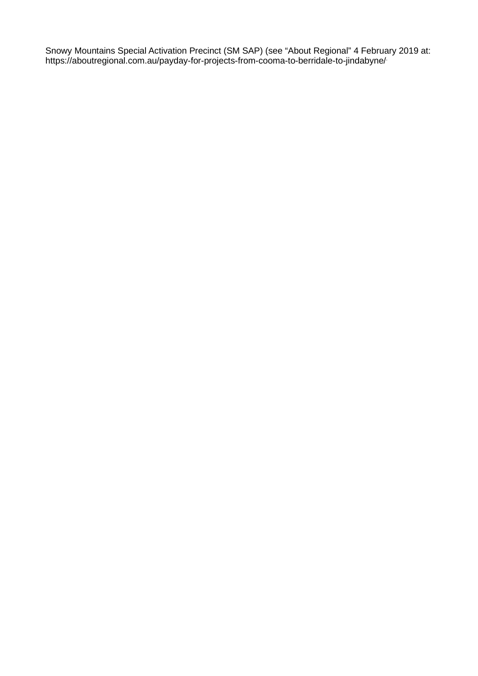Snowy Mountains Special Activation Precinct (SM SAP) (see "About Regional" 4 February 2019 at: https://aboutregional.com.au/payday-for-projects-from-cooma-to-berridale-to-jindabyne/.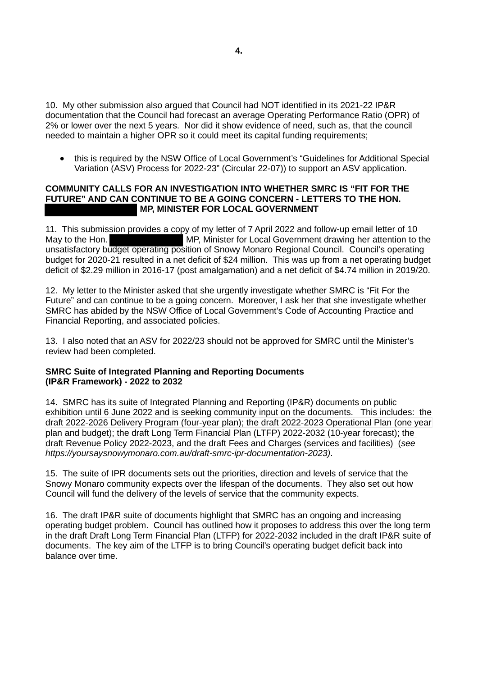10. My other submission also argued that Council had NOT identified in its 2021-22 IP&R documentation that the Council had forecast an average Operating Performance Ratio (OPR) of 2% or lower over the next 5 years. Nor did it show evidence of need, such as, that the council needed to maintain a higher OPR so it could meet its capital funding requirements;

• this is required by the NSW Office of Local Government's "Guidelines for Additional Special Variation (ASV) Process for 2022-23" (Circular 22-07)) to support an ASV application.

### **COMMUNITY CALLS FOR AN INVESTIGATION INTO WHETHER SMRC IS "FIT FOR THE FUTURE" AND CAN CONTINUE TO BE A GOING CONCERN - LETTERS TO THE HON. MP, MINISTER FOR LOCAL GOVERNMENT**

11. This submission provides a copy of my letter of 7 April 2022 and follow-up email letter of 10 May to the Hon. MAC MP, Minister for Local Government drawing her attention to the unsatisfactory budget operating position of Snowy Monaro Regional Council. Council's operating budget for 2020-21 resulted in a net deficit of \$24 million. This was up from a net operating budget deficit of \$2.29 million in 2016-17 (post amalgamation) and a net deficit of \$4.74 million in 2019/20.

12. My letter to the Minister asked that she urgently investigate whether SMRC is "Fit For the Future" and can continue to be a going concern. Moreover, I ask her that she investigate whether SMRC has abided by the NSW Office of Local Government's Code of Accounting Practice and Financial Reporting, and associated policies.

13. I also noted that an ASV for 2022/23 should not be approved for SMRC until the Minister's review had been completed.

## **SMRC Suite of Integrated Planning and Reporting Documents (IP&R Framework) - 2022 to 2032**

14. SMRC has its suite of Integrated Planning and Reporting (IP&R) documents on public exhibition until 6 June 2022 and is seeking community input on the documents. This includes: the draft 2022-2026 Delivery Program (four-year plan); the draft 2022-2023 Operational Plan (one year plan and budget); the draft Long Term Financial Plan (LTFP) 2022-2032 (10-year forecast); the draft Revenue Policy 2022-2023, and the draft Fees and Charges (services and facilities) (*see https://yoursaysnowymonaro.com.au/draft-smrc-ipr-documentation-2023)*.

15. The suite of IPR documents sets out the priorities, direction and levels of service that the Snowy Monaro community expects over the lifespan of the documents. They also set out how Council will fund the delivery of the levels of service that the community expects.

16. The draft IP&R suite of documents highlight that SMRC has an ongoing and increasing operating budget problem. Council has outlined how it proposes to address this over the long term in the draft Draft Long Term Financial Plan (LTFP) for 2022-2032 included in the draft IP&R suite of documents. The key aim of the LTFP is to bring Council's operating budget deficit back into balance over time.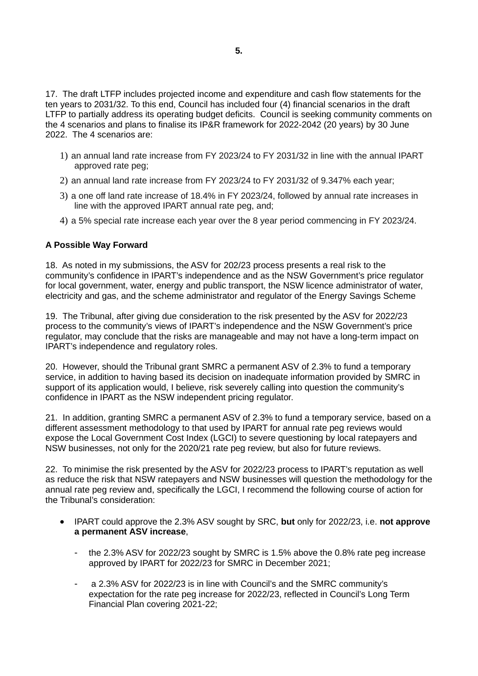17. The draft LTFP includes projected income and expenditure and cash flow statements for the ten years to 2031/32. To this end, Council has included four (4) financial scenarios in the draft LTFP to partially address its operating budget deficits. Council is seeking community comments on the 4 scenarios and plans to finalise its IP&R framework for 2022-2042 (20 years) by 30 June 2022. The 4 scenarios are:

- 1) an annual land rate increase from FY 2023/24 to FY 2031/32 in line with the annual IPART approved rate peg;
- 2) an annual land rate increase from FY 2023/24 to FY 2031/32 of 9.347% each year;
- 3) a one off land rate increase of 18.4% in FY 2023/24, followed by annual rate increases in line with the approved IPART annual rate peg, and;
- 4) a 5% special rate increase each year over the 8 year period commencing in FY 2023/24.

## **A Possible Way Forward**

18. As noted in my submissions, the ASV for 202/23 process presents a real risk to the community's confidence in IPART's independence and as the NSW Government's price regulator for local government, water, energy and public transport, the NSW licence administrator of water, electricity and gas, and the scheme administrator and regulator of the Energy Savings Scheme

19. The Tribunal, after giving due consideration to the risk presented by the ASV for 2022/23 process to the community's views of IPART's independence and the NSW Government's price regulator, may conclude that the risks are manageable and may not have a long-term impact on IPART's independence and regulatory roles.

20. However, should the Tribunal grant SMRC a permanent ASV of 2.3% to fund a temporary service, in addition to having based its decision on inadequate information provided by SMRC in support of its application would, I believe, risk severely calling into question the community's confidence in IPART as the NSW independent pricing regulator.

21. In addition, granting SMRC a permanent ASV of 2.3% to fund a temporary service, based on a different assessment methodology to that used by IPART for annual rate peg reviews would expose the Local Government Cost Index (LGCI) to severe questioning by local ratepayers and NSW businesses, not only for the 2020/21 rate peg review, but also for future reviews.

22. To minimise the risk presented by the ASV for 2022/23 process to IPART's reputation as well as reduce the risk that NSW ratepayers and NSW businesses will question the methodology for the annual rate peg review and, specifically the LGCI, I recommend the following course of action for the Tribunal's consideration:

- IPART could approve the 2.3% ASV sought by SRC, **but** only for 2022/23, i.e. **not approve a permanent ASV increase**,
	- the 2.3% ASV for 2022/23 sought by SMRC is 1.5% above the 0.8% rate peg increase approved by IPART for 2022/23 for SMRC in December 2021;
	- a 2.3% ASV for 2022/23 is in line with Council's and the SMRC community's expectation for the rate peg increase for 2022/23, reflected in Council's Long Term Financial Plan covering 2021-22;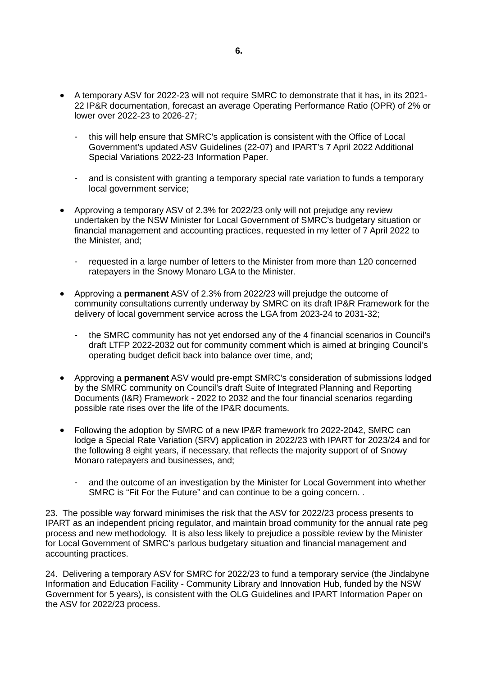- A temporary ASV for 2022-23 will not require SMRC to demonstrate that it has, in its 2021- 22 IP&R documentation, forecast an average Operating Performance Ratio (OPR) of 2% or lower over 2022-23 to 2026-27;
	- this will help ensure that SMRC's application is consistent with the Office of Local Government's updated ASV Guidelines (22-07) and IPART's 7 April 2022 Additional Special Variations 2022-23 Information Paper.
	- and is consistent with granting a temporary special rate variation to funds a temporary local government service;
- Approving a temporary ASV of 2.3% for 2022/23 only will not prejudge any review undertaken by the NSW Minister for Local Government of SMRC's budgetary situation or financial management and accounting practices, requested in my letter of 7 April 2022 to the Minister, and;
	- requested in a large number of letters to the Minister from more than 120 concerned ratepayers in the Snowy Monaro LGA to the Minister.
- Approving a **permanent** ASV of 2.3% from 2022/23 will prejudge the outcome of community consultations currently underway by SMRC on its draft IP&R Framework for the delivery of local government service across the LGA from 2023-24 to 2031-32;
	- the SMRC community has not yet endorsed any of the 4 financial scenarios in Council's draft LTFP 2022-2032 out for community comment which is aimed at bringing Council's operating budget deficit back into balance over time, and;
- Approving a **permanent** ASV would pre-empt SMRC's consideration of submissions lodged by the SMRC community on Council's draft Suite of Integrated Planning and Reporting Documents (I&R) Framework - 2022 to 2032 and the four financial scenarios regarding possible rate rises over the life of the IP&R documents.
- Following the adoption by SMRC of a new IP&R framework fro 2022-2042, SMRC can lodge a Special Rate Variation (SRV) application in 2022/23 with IPART for 2023/24 and for the following 8 eight years, if necessary, that reflects the majority support of of Snowy Monaro ratepayers and businesses, and;
	- and the outcome of an investigation by the Minister for Local Government into whether SMRC is "Fit For the Future" and can continue to be a going concern. .

23. The possible way forward minimises the risk that the ASV for 2022/23 process presents to IPART as an independent pricing regulator, and maintain broad community for the annual rate peg process and new methodology. It is also less likely to prejudice a possible review by the Minister for Local Government of SMRC's parlous budgetary situation and financial management and accounting practices.

24. Delivering a temporary ASV for SMRC for 2022/23 to fund a temporary service (the Jindabyne Information and Education Facility - Community Library and Innovation Hub, funded by the NSW Government for 5 years), is consistent with the OLG Guidelines and IPART Information Paper on the ASV for 2022/23 process.